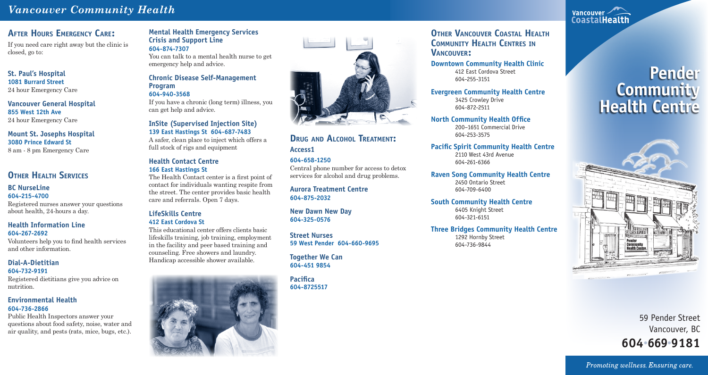# *Vancouver Community Health*

# **AFTER HOURS EMERGENCY CARE:**

If you need care right away but the clinic is closed, go to:

### **St. Paul's Hospital 1081 Burrard Street** 24 hour Emergency Care

**Vancouver General Hospital 855 West 12th Ave** 24 hour Emergency Care

# **Mount St. Josephs Hospital 3080 Prince Edward St**

8 am - 8 pm Emergency Care

# **OTHER HEALTH SERVICES**

### **BC NurseLine 604-215-4700**

Registered nurses answer your questions about health, 24-hours a day.

### **Health Information Line 604-267-2692**

Volunteers help you to find health services and other information.

### **Dial-A-Dietitian 604-732-9191**

Registered dietitians give you advice on nutrition.

### **Environmental Health 604-736-2866**

Public Health Inspectors answer your questions about food safety, noise, water and air quality, and pests (rats, mice, bugs, etc.).

### **Mental Health Emergency Services Crisis and Support Line 604-874-7307**

# **OTHER VANCOUVER COASTAL HEALTH COMMUNITY HEALTH CENTRES IN VANCOUVER:**

You can talk to a mental health nurse to get emergency help and advice.

### **Chronic Disease Self-Management Program 604-940-3568**

If you have a chronic (long term) illness, you can get help and advice.

### **InSite (Supervised Injection Site) 139 East Hastings St 604-687-7483**

A safer, clean place to inject which offers a full stock of rigs and equipment

### **Health Contact Centre 166 East Hastings St**

The Health Contact center is a first point of contact for individuals wanting respite from the street. The center provides basic health care and referrals. Open 7 days.

### **LifeSkills Centre 412 East Cordova St**

This educational center offers clients basic lifeskills training, job training, employment in the facility and peer based training and counseling. Free showers and laundry. Handicap accessible shower available.





**Downtown Community Health Clinic** 412 East Cordova Street 604-255-3151

**Evergreen Community Health Centre** 3425 Crowley Drive 604-872-2511

**North Community Health Office**

200–1651 Commercial Drive 604-253-3575

**Pacific Spirit Community Health Centre** 2110 West 43rd Avenue 604-261-6366

**Raven Song Community Health Centre** 2450 Ontario Street 604-709-6400

**South Community Health Centre**

6405 Knight Street 604-321-6151

### **Three Bridges Community Health Centre**

1292 Hornby Street 604-736-9844



# **DRUG AND ALCOHOL TREATMENT: Access1**

**604-658-1250** Central phone number for access to detox services for alcohol and drug problems.

**Aurora Treatment Centre 604-875-2032**

**New Dawn New Day 604-325-0576**

**Street Nurses 59 West Pender 604-660-9695**

**Together We Can 604-451 9854**

**Pacifica 604-8725517**

# **Pender Community Health Centre**



59 Pender Street Vancouver, BC **604**•**669**•**9181**

Promoting wellness. Ensuring care.